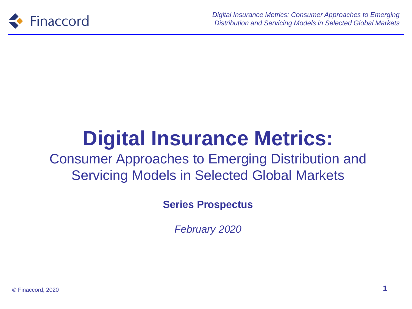

# **Digital Insurance Metrics:**

#### Consumer Approaches to Emerging Distribution and Servicing Models in Selected Global Markets

**Series Prospectus**

*February 2020*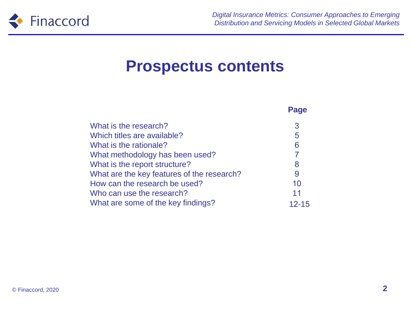

**Page**

#### **Prospectus contents**

| What is the research?                      | 3              |
|--------------------------------------------|----------------|
| Which titles are available?                | 5              |
| What is the rationale?                     | 6              |
| What methodology has been used?            | $\overline{7}$ |
| What is the report structure?              | 8              |
| What are the key features of the research? | 9              |
| How can the research be used?              | 10             |
| Who can use the research?                  | 11             |
| What are some of the key findings?         | $12 - 15$      |
|                                            |                |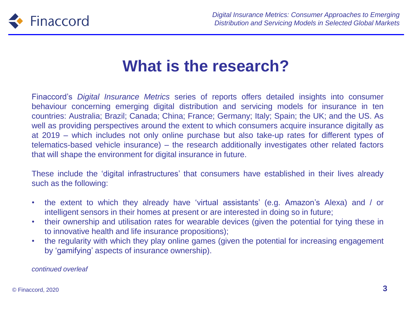

## **What is the research?**

Finaccord's *Digital Insurance Metrics* series of reports offers detailed insights into consumer behaviour concerning emerging digital distribution and servicing models for insurance in ten countries: Australia; Brazil; Canada; China; France; Germany; Italy; Spain; the UK; and the US. As well as providing perspectives around the extent to which consumers acquire insurance digitally as at 2019 – which includes not only online purchase but also take-up rates for different types of telematics-based vehicle insurance) – the research additionally investigates other related factors that will shape the environment for digital insurance in future.

These include the 'digital infrastructures' that consumers have established in their lives already such as the following:

- the extent to which they already have 'virtual assistants' (e.g. Amazon's Alexa) and / or intelligent sensors in their homes at present or are interested in doing so in future;
- their ownership and utilisation rates for wearable devices (given the potential for tying these in to innovative health and life insurance propositions);
- the regularity with which they play online games (given the potential for increasing engagement by 'gamifying' aspects of insurance ownership).

*continued overleaf*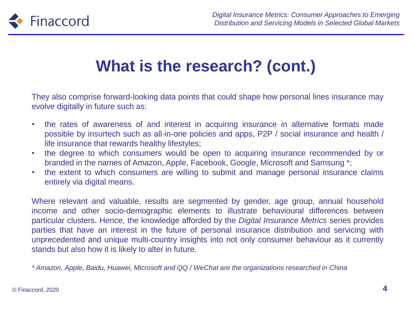

## **What is the research? (cont.)**

They also comprise forward-looking data points that could shape how personal lines insurance may evolve digitally in future such as:

- the rates of awareness of and interest in acquiring insurance in alternative formats made possible by insurtech such as all-in-one policies and apps, P2P / social insurance and health / life insurance that rewards healthy lifestyles;
- the degree to which consumers would be open to acquiring insurance recommended by or branded in the names of Amazon, Apple, Facebook, Google, Microsoft and Samsung \*;
- the extent to which consumers are willing to submit and manage personal insurance claims entirely via digital means.

Where relevant and valuable, results are segmented by gender, age group, annual household income and other socio-demographic elements to illustrate behavioural differences between particular clusters. Hence, the knowledge afforded by the *Digital Insurance Metrics* series provides parties that have an interest in the future of personal insurance distribution and servicing with unprecedented and unique multi-country insights into not only consumer behaviour as it currently stands but also how it is likely to alter in future.

*\* Amazon, Apple, Baidu, Huawei, Microsoft and QQ / WeChat are the organizations researched in China*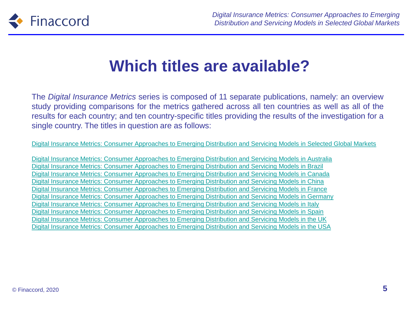

## **Which titles are available?**

The *Digital Insurance Metrics* series is composed of 11 separate publications, namely: an overview study providing comparisons for the metrics gathered across all ten countries as well as all of the results for each country; and ten country-specific titles providing the results of the investigation for a single country. The titles in question are as follows:

[Digital Insurance Metrics: Consumer Approaches to Emerging Distribution and Servicing Models in Selected Global Markets](https://www.finaccord.com/Home/reports/Digital-Insurance-Metrics-Consumer-Approaches-(47))

[Digital Insurance Metrics: Consumer Approaches to Emerging Distribution and Servicing Models in Australia](https://www.finaccord.com/Home/reports/Digital-Insurance-Metrics-Consumer-Approaches-to) [Digital Insurance Metrics: Consumer Approaches to Emerging Distribution and Servicing Models in Brazil](https://www.finaccord.com/Home/reports/Digital-Insurance-Metrics-Consumer-Approaches-(2)) [Digital Insurance Metrics: Consumer Approaches to Emerging Distribution and Servicing Models in Canada](https://www.finaccord.com/Home/reports/Digital-Insurance-Metrics-Consumer-Approaches-(7)) [Digital Insurance Metrics: Consumer Approaches to Emerging Distribution and Servicing Models in China](https://www.finaccord.com/Home/reports/Digital-Insurance-Metrics-Consumer-Approaches-(12)) [Digital Insurance Metrics: Consumer Approaches to Emerging Distribution and Servicing Models in France](https://www.finaccord.com/Home/reports/Digital-Insurance-Metrics-Consumer-Approaches-(13)) [Digital Insurance Metrics: Consumer Approaches to Emerging Distribution and Servicing Models in Germany](https://www.finaccord.com/Home/reports/Digital-Insurance-Metrics-Consumer-Approaches-(27)) [Digital Insurance Metrics: Consumer Approaches to Emerging Distribution and Servicing Models in Italy](https://www.finaccord.com/Home/reports/Digital-Insurance-Metrics-Consumer-Approaches-(22)) [Digital Insurance Metrics: Consumer Approaches to Emerging Distribution and Servicing Models in Spain](https://www.finaccord.com/Home/reports/Digital-Insurance-Metrics-Consumer-Approaches-(32)) [Digital Insurance Metrics: Consumer Approaches to Emerging Distribution and Servicing Models in the UK](https://www.finaccord.com/Home/reports/Digital-Insurance-Metrics-Consumer-Approaches-(37)) [Digital Insurance Metrics: Consumer Approaches to Emerging Distribution and Servicing Models in the USA](https://www.finaccord.com/Home/reports/Digital-Insurance-Metrics-Consumer-Approaches-(42))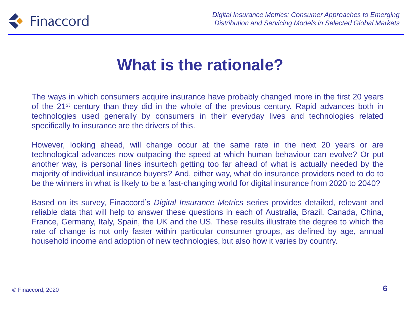

## **What is the rationale?**

The ways in which consumers acquire insurance have probably changed more in the first 20 years of the 21<sup>st</sup> century than they did in the whole of the previous century. Rapid advances both in technologies used generally by consumers in their everyday lives and technologies related specifically to insurance are the drivers of this.

However, looking ahead, will change occur at the same rate in the next 20 years or are technological advances now outpacing the speed at which human behaviour can evolve? Or put another way, is personal lines insurtech getting too far ahead of what is actually needed by the majority of individual insurance buyers? And, either way, what do insurance providers need to do to be the winners in what is likely to be a fast-changing world for digital insurance from 2020 to 2040?

Based on its survey, Finaccord's *Digital Insurance Metrics* series provides detailed, relevant and reliable data that will help to answer these questions in each of Australia, Brazil, Canada, China, France, Germany, Italy, Spain, the UK and the US. These results illustrate the degree to which the rate of change is not only faster within particular consumer groups, as defined by age, annual household income and adoption of new technologies, but also how it varies by country.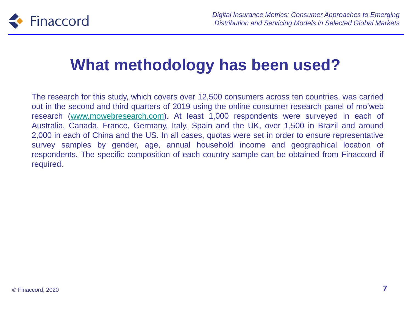

## **What methodology has been used?**

The research for this study, which covers over 12,500 consumers across ten countries, was carried out in the second and third quarters of 2019 using the online consumer research panel of mo'web research [\(www.mowebresearch.com](http://www.mowebresearch.com/)). At least 1,000 respondents were surveyed in each of Australia, Canada, France, Germany, Italy, Spain and the UK, over 1,500 in Brazil and around 2,000 in each of China and the US. In all cases, quotas were set in order to ensure representative survey samples by gender, age, annual household income and geographical location of respondents. The specific composition of each country sample can be obtained from Finaccord if required.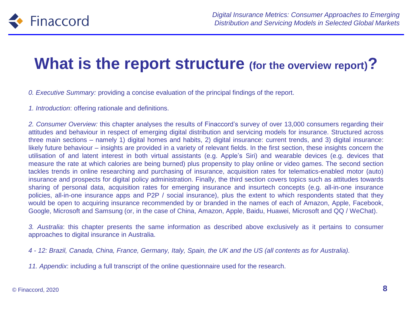

#### **What is the report structure (for the overview report)?**

*0. Executive Summary:* providing a concise evaluation of the principal findings of the report.

*1. Introduction*: offering rationale and definitions.

*2. Consumer Overview:* this chapter analyses the results of Finaccord's survey of over 13,000 consumers regarding their attitudes and behaviour in respect of emerging digital distribution and servicing models for insurance. Structured across three main sections – namely 1) digital homes and habits, 2) digital insurance: current trends, and 3) digital insurance: likely future behaviour – insights are provided in a variety of relevant fields. In the first section, these insights concern the utilisation of and latent interest in both virtual assistants (e.g. Apple's Siri) and wearable devices (e.g. devices that measure the rate at which calories are being burned) plus propensity to play online or video games. The second section tackles trends in online researching and purchasing of insurance, acquisition rates for telematics-enabled motor (auto) insurance and prospects for digital policy administration. Finally, the third section covers topics such as attitudes towards sharing of personal data, acquisition rates for emerging insurance and insurtech concepts (e.g. all-in-one insurance policies, all-in-one insurance apps and P2P / social insurance), plus the extent to which respondents stated that they would be open to acquiring insurance recommended by or branded in the names of each of Amazon, Apple, Facebook, Google, Microsoft and Samsung (or, in the case of China, Amazon, Apple, Baidu, Huawei, Microsoft and QQ / WeChat).

*3. Australia*: this chapter presents the same information as described above exclusively as it pertains to consumer approaches to digital insurance in Australia.

4 - 12: Brazil, Canada, China, France, Germany, Italy, Spain, the UK and the US (all contents as for Australia).

*11. Appendix*: including a full transcript of the online questionnaire used for the research.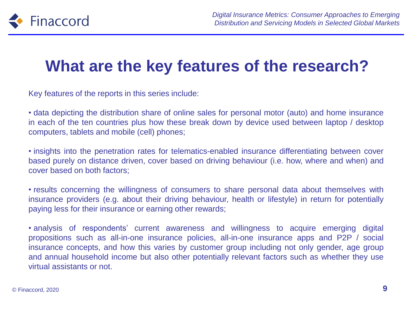

## **What are the key features of the research?**

Key features of the reports in this series include:

• data depicting the distribution share of online sales for personal motor (auto) and home insurance in each of the ten countries plus how these break down by device used between laptop / desktop computers, tablets and mobile (cell) phones;

• insights into the penetration rates for telematics-enabled insurance differentiating between cover based purely on distance driven, cover based on driving behaviour (i.e. how, where and when) and cover based on both factors;

• results concerning the willingness of consumers to share personal data about themselves with insurance providers (e.g. about their driving behaviour, health or lifestyle) in return for potentially paying less for their insurance or earning other rewards;

• analysis of respondents' current awareness and willingness to acquire emerging digital propositions such as all-in-one insurance policies, all-in-one insurance apps and P2P / social insurance concepts, and how this varies by customer group including not only gender, age group and annual household income but also other potentially relevant factors such as whether they use virtual assistants or not.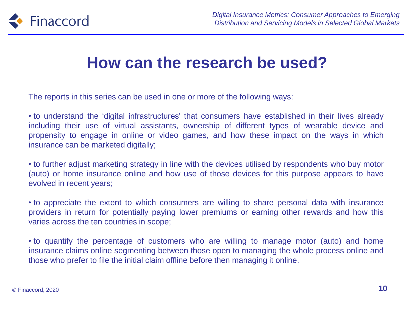

#### **How can the research be used?**

The reports in this series can be used in one or more of the following ways:

• to understand the 'digital infrastructures' that consumers have established in their lives already including their use of virtual assistants, ownership of different types of wearable device and propensity to engage in online or video games, and how these impact on the ways in which insurance can be marketed digitally;

• to further adjust marketing strategy in line with the devices utilised by respondents who buy motor (auto) or home insurance online and how use of those devices for this purpose appears to have evolved in recent years;

• to appreciate the extent to which consumers are willing to share personal data with insurance providers in return for potentially paying lower premiums or earning other rewards and how this varies across the ten countries in scope;

• to quantify the percentage of customers who are willing to manage motor (auto) and home insurance claims online segmenting between those open to managing the whole process online and those who prefer to file the initial claim offline before then managing it online.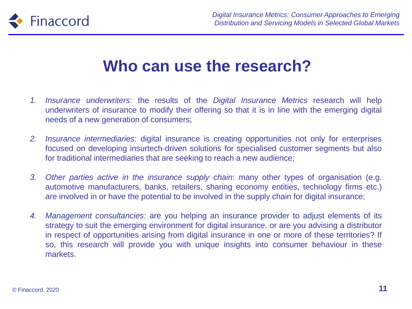

#### **Who can use the research?**

- *1. Insurance underwriters*: the results of the *Digital Insurance Metrics* research will help underwriters of insurance to modify their offering so that it is in line with the emerging digital needs of a new generation of consumers;
- *2. Insurance intermediaries*: digital insurance is creating opportunities not only for enterprises focused on developing insurtech-driven solutions for specialised customer segments but also for traditional intermediaries that are seeking to reach a new audience;
- *3. Other parties active in the insurance supply chain*: many other types of organisation (e.g. automotive manufacturers, banks, retailers, sharing economy entities, technology firms etc.) are involved in or have the potential to be involved in the supply chain for digital insurance;
- *4. Management consultancies:* are you helping an insurance provider to adjust elements of its strategy to suit the emerging environment for digital insurance, or are you advising a distributor in respect of opportunities arising from digital insurance in one or more of these territories? If so, this research will provide you with unique insights into consumer behaviour in these markets.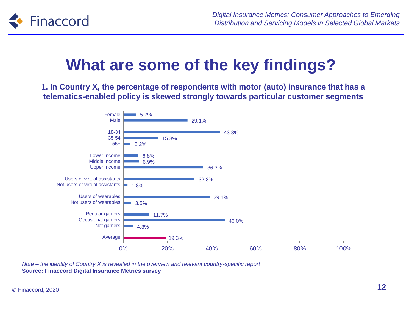

## **What are some of the key findings?**

**1. In Country X, the percentage of respondents with motor (auto) insurance that has a telematics-enabled policy is skewed strongly towards particular customer segments**



*Note – the identity of Country X is revealed in the overview and relevant country-specific report* **Source: Finaccord Digital Insurance Metrics survey**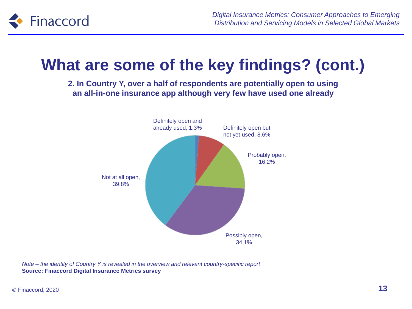

## **What are some of the key findings? (cont.)**

**2. In Country Y, over a half of respondents are potentially open to using an all-in-one insurance app although very few have used one already**



*Note – the identity of Country Y is revealed in the overview and relevant country-specific report* **Source: Finaccord Digital Insurance Metrics survey**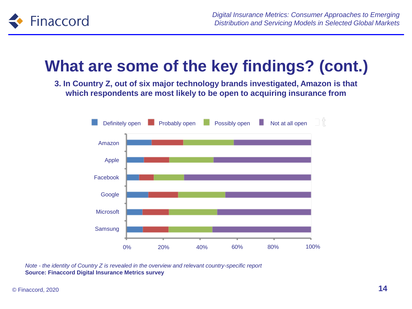

## **What are some of the key findings? (cont.)**

**3. In Country Z, out of six major technology brands investigated, Amazon is that which respondents are most likely to be open to acquiring insurance from**



*Note - the identity of Country Z is revealed in the overview and relevant country-specific report* **Source: Finaccord Digital Insurance Metrics survey**